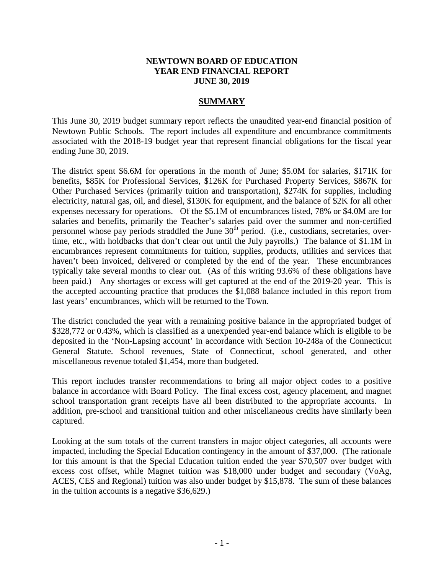## **NEWTOWN BOARD OF EDUCATION YEAR END FINANCIAL REPORT JUNE 30, 2019**

## **SUMMARY**

This June 30, 2019 budget summary report reflects the unaudited year-end financial position of Newtown Public Schools. The report includes all expenditure and encumbrance commitments associated with the 2018-19 budget year that represent financial obligations for the fiscal year ending June 30, 2019.

The district spent \$6.6M for operations in the month of June; \$5.0M for salaries, \$171K for benefits, \$85K for Professional Services, \$126K for Purchased Property Services, \$867K for Other Purchased Services (primarily tuition and transportation), \$274K for supplies, including electricity, natural gas, oil, and diesel, \$130K for equipment, and the balance of \$2K for all other expenses necessary for operations. Of the \$5.1M of encumbrances listed, 78% or \$4.0M are for salaries and benefits, primarily the Teacher's salaries paid over the summer and non-certified personnel whose pay periods straddled the June  $30<sup>th</sup>$  period. (i.e., custodians, secretaries, overtime, etc., with holdbacks that don't clear out until the July payrolls.) The balance of \$1.1M in encumbrances represent commitments for tuition, supplies, products, utilities and services that haven't been invoiced, delivered or completed by the end of the year. These encumbrances typically take several months to clear out. (As of this writing 93.6% of these obligations have been paid.) Any shortages or excess will get captured at the end of the 2019-20 year. This is the accepted accounting practice that produces the \$1,088 balance included in this report from last years' encumbrances, which will be returned to the Town.

The district concluded the year with a remaining positive balance in the appropriated budget of \$328,772 or 0.43%, which is classified as a unexpended year-end balance which is eligible to be deposited in the 'Non-Lapsing account' in accordance with Section 10-248a of the Connecticut General Statute. School revenues, State of Connecticut, school generated, and other miscellaneous revenue totaled \$1,454, more than budgeted.

This report includes transfer recommendations to bring all major object codes to a positive balance in accordance with Board Policy. The final excess cost, agency placement, and magnet school transportation grant receipts have all been distributed to the appropriate accounts. In addition, pre-school and transitional tuition and other miscellaneous credits have similarly been captured.

Looking at the sum totals of the current transfers in major object categories, all accounts were impacted, including the Special Education contingency in the amount of \$37,000. (The rationale for this amount is that the Special Education tuition ended the year \$70,507 over budget with excess cost offset, while Magnet tuition was \$18,000 under budget and secondary (VoAg, ACES, CES and Regional) tuition was also under budget by \$15,878. The sum of these balances in the tuition accounts is a negative \$36,629.)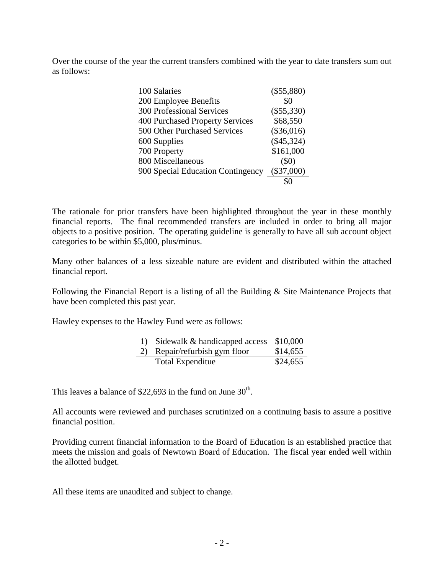Over the course of the year the current transfers combined with the year to date transfers sum out as follows:

| 100 Salaries                      | $(\$55,880)$ |
|-----------------------------------|--------------|
| 200 Employee Benefits             | \$0          |
| <b>300 Professional Services</b>  | $(\$55,330)$ |
| 400 Purchased Property Services   | \$68,550     |
| 500 Other Purchased Services      | $(\$36,016)$ |
| 600 Supplies                      | $(\$45,324)$ |
| 700 Property                      | \$161,000    |
| 800 Miscellaneous                 | $(\$0)$      |
| 900 Special Education Contingency | $(\$37,000)$ |
|                                   |              |

The rationale for prior transfers have been highlighted throughout the year in these monthly financial reports. The final recommended transfers are included in order to bring all major objects to a positive position. The operating guideline is generally to have all sub account object categories to be within \$5,000, plus/minus.

Many other balances of a less sizeable nature are evident and distributed within the attached financial report.

Following the Financial Report is a listing of all the Building & Site Maintenance Projects that have been completed this past year.

Hawley expenses to the Hawley Fund were as follows:

| 1) Sidewalk & handicapped access \$10,000 |          |
|-------------------------------------------|----------|
| 2) Repair/refurbish gym floor             | \$14,655 |
| Total Expenditue                          | \$24,655 |

This leaves a balance of \$22,693 in the fund on June  $30<sup>th</sup>$ .

All accounts were reviewed and purchases scrutinized on a continuing basis to assure a positive financial position.

Providing current financial information to the Board of Education is an established practice that meets the mission and goals of Newtown Board of Education. The fiscal year ended well within the allotted budget.

All these items are unaudited and subject to change.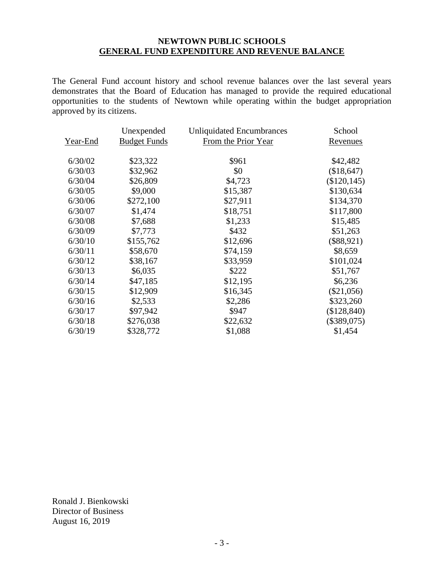## **NEWTOWN PUBLIC SCHOOLS GENERAL FUND EXPENDITURE AND REVENUE BALANCE**

The General Fund account history and school revenue balances over the last several years demonstrates that the Board of Education has managed to provide the required educational opportunities to the students of Newtown while operating within the budget appropriation approved by its citizens.

|          | Unexpended          | <b>Unliquidated Encumbrances</b> | School          |
|----------|---------------------|----------------------------------|-----------------|
| Year-End | <b>Budget Funds</b> | From the Prior Year              | <u>Revenues</u> |
| 6/30/02  | \$23,322            | \$961                            | \$42,482        |
| 6/30/03  | \$32,962            | \$0                              | (\$18,647)      |
| 6/30/04  | \$26,809            | \$4,723                          | $(\$120, 145)$  |
| 6/30/05  | \$9,000             | \$15,387                         | \$130,634       |
| 6/30/06  | \$272,100           | \$27,911                         | \$134,370       |
| 6/30/07  | \$1,474             | \$18,751                         | \$117,800       |
| 6/30/08  | \$7,688             | \$1,233                          | \$15,485        |
| 6/30/09  | \$7,773             | \$432                            | \$51,263        |
| 6/30/10  | \$155,762           | \$12,696                         | $(\$88,921)$    |
| 6/30/11  | \$58,670            | \$74,159                         | \$8,659         |
| 6/30/12  | \$38,167            | \$33,959                         | \$101,024       |
| 6/30/13  | \$6,035             | \$222                            | \$51,767        |
| 6/30/14  | \$47,185            | \$12,195                         | \$6,236         |
| 6/30/15  | \$12,909            | \$16,345                         | $(\$21,056)$    |
| 6/30/16  | \$2,533             | \$2,286                          | \$323,260       |
| 6/30/17  | \$97,942            | \$947                            | $(\$128,840)$   |
| 6/30/18  | \$276,038           | \$22,632                         | $(\$389,075)$   |
| 6/30/19  | \$328,772           | \$1,088                          | \$1,454         |

Ronald J. Bienkowski Director of Business August 16, 2019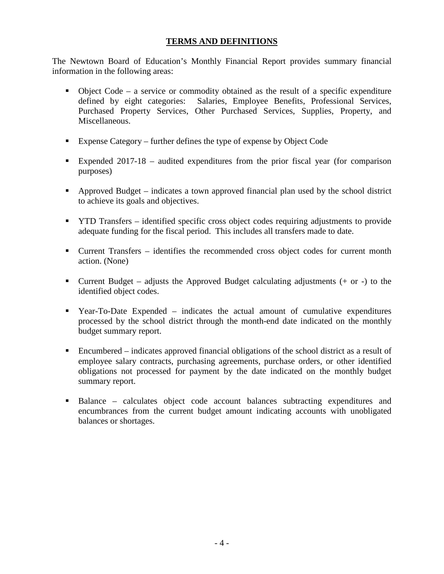## **TERMS AND DEFINITIONS**

The Newtown Board of Education's Monthly Financial Report provides summary financial information in the following areas:

- Object Code a service or commodity obtained as the result of a specific expenditure defined by eight categories: Salaries, Employee Benefits, Professional Services, Purchased Property Services, Other Purchased Services, Supplies, Property, and Miscellaneous.
- Expense Category further defines the type of expense by Object Code
- Expended 2017-18 audited expenditures from the prior fiscal year (for comparison purposes)
- Approved Budget indicates a town approved financial plan used by the school district to achieve its goals and objectives.
- YTD Transfers identified specific cross object codes requiring adjustments to provide adequate funding for the fiscal period. This includes all transfers made to date.
- Current Transfers identifies the recommended cross object codes for current month action. (None)
- Current Budget adjusts the Approved Budget calculating adjustments  $(+)$  or  $-)$  to the identified object codes.
- Year-To-Date Expended indicates the actual amount of cumulative expenditures processed by the school district through the month-end date indicated on the monthly budget summary report.
- Encumbered indicates approved financial obligations of the school district as a result of employee salary contracts, purchasing agreements, purchase orders, or other identified obligations not processed for payment by the date indicated on the monthly budget summary report.
- Balance calculates object code account balances subtracting expenditures and encumbrances from the current budget amount indicating accounts with unobligated balances or shortages.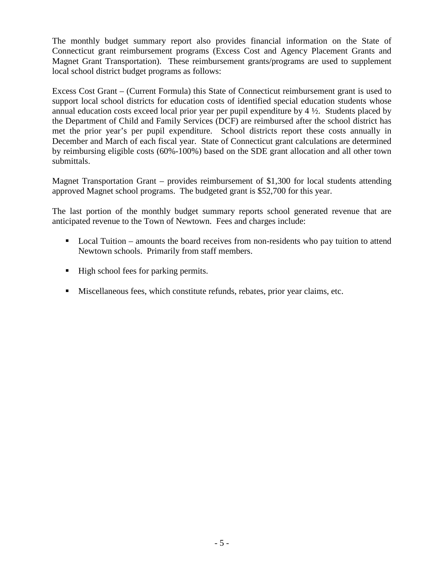The monthly budget summary report also provides financial information on the State of Connecticut grant reimbursement programs (Excess Cost and Agency Placement Grants and Magnet Grant Transportation). These reimbursement grants/programs are used to supplement local school district budget programs as follows:

Excess Cost Grant – (Current Formula) this State of Connecticut reimbursement grant is used to support local school districts for education costs of identified special education students whose annual education costs exceed local prior year per pupil expenditure by  $4\frac{1}{2}$ . Students placed by the Department of Child and Family Services (DCF) are reimbursed after the school district has met the prior year's per pupil expenditure. School districts report these costs annually in December and March of each fiscal year. State of Connecticut grant calculations are determined by reimbursing eligible costs (60%-100%) based on the SDE grant allocation and all other town submittals.

Magnet Transportation Grant – provides reimbursement of \$1,300 for local students attending approved Magnet school programs. The budgeted grant is \$52,700 for this year.

The last portion of the monthly budget summary reports school generated revenue that are anticipated revenue to the Town of Newtown. Fees and charges include:

- Local Tuition amounts the board receives from non-residents who pay tuition to attend Newtown schools. Primarily from staff members.
- High school fees for parking permits.
- Miscellaneous fees, which constitute refunds, rebates, prior year claims, etc.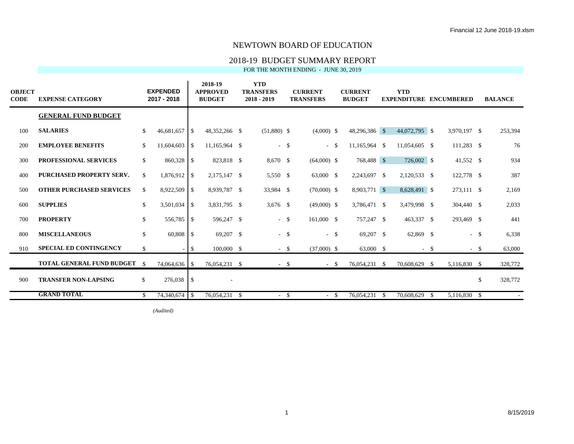## 2018-19 BUDGET SUMMARY REPORT

FOR THE MONTH ENDING - JUNE 30, 2019

| <b>OBJECT</b><br>CODE | <b>EXPENSE CATEGORY</b>         |              | <b>EXPENDED</b><br>2017 - 2018 |                          | 2018-19<br><b>APPROVED</b><br><b>BUDGET</b> | <b>YTD</b><br><b>TRANSFERS</b><br>$2018 - 2019$ |        | <b>CURRENT</b><br><b>TRANSFERS</b> | <b>CURRENT</b><br><b>BUDGET</b> |     | <b>YTD</b><br><b>EXPENDITURE ENCUMBERED</b> |        |              |              | <b>BALANCE</b> |
|-----------------------|---------------------------------|--------------|--------------------------------|--------------------------|---------------------------------------------|-------------------------------------------------|--------|------------------------------------|---------------------------------|-----|---------------------------------------------|--------|--------------|--------------|----------------|
|                       | <b>GENERAL FUND BUDGET</b>      |              |                                |                          |                                             |                                                 |        |                                    |                                 |     |                                             |        |              |              |                |
| 100                   | <b>SALARIES</b>                 | $\mathbb{S}$ | $46,681,657$ \$                |                          | 48,352,266 \$                               | $(51,880)$ \$                                   |        | $(4,000)$ \$                       | 48,296,386 \$                   |     | 44,072,795 \$                               |        | 3,970,197 \$ |              | 253,394        |
| 200                   | <b>EMPLOYEE BENEFITS</b>        | \$           | 11,604,603                     | $\overline{\phantom{a}}$ | 11,165,964 \$                               |                                                 | $-$ \$ | - \$                               | 11,165,964 \$                   |     | 11,054,605 \$                               |        | 111,283 \$   |              | 76             |
| 300                   | <b>PROFESSIONAL SERVICES</b>    | \$           | 860,328 \$                     |                          | 823,818 \$                                  | 8,670 \$                                        |        | $(64,000)$ \$                      | 768,488 \$                      |     | 726,002 \$                                  |        | 41,552 \$    |              | 934            |
| 400                   | <b>PURCHASED PROPERTY SERV.</b> | \$           | $1,876,912$ \$                 |                          | 2,175,147 \$                                | 5,550 \$                                        |        | 63,000 \$                          | 2,243,697 \$                    |     | 2,120,533 \$                                |        | 122,778 \$   |              | 387            |
| 500                   | <b>OTHER PURCHASED SERVICES</b> | \$           | 8,922,509                      | $\overline{1}$           | 8,939,787 \$                                | 33,984 \$                                       |        | $(70,000)$ \$                      | 8,903,771 \$                    |     | 8,628,491 \$                                |        | 273,111 \$   |              | 2,169          |
| 600                   | <b>SUPPLIES</b>                 | \$           |                                |                          | 3,831,795 \$                                | 3,676 \$                                        |        | $(49,000)$ \$                      | 3,786,471 \$                    |     | 3,479,998 \$                                |        | 304,440 \$   |              | 2,033          |
| 700                   | <b>PROPERTY</b>                 | \$           | 556,785                        | l S                      | 596,247 \$                                  |                                                 | $-$ \$ | 161,000 \$                         | 757,247 \$                      |     | 463,337 \$                                  |        | 293,469 \$   |              | 441            |
| 800                   | <b>MISCELLANEOUS</b>            | $\mathbb{S}$ | 60,808                         | l \$                     | 69,207 \$                                   |                                                 | $-$ \$ | $-$ \$                             | 69,207 \$                       |     | 62,869 \$                                   |        |              | $-$ \$       | 6,338          |
| 910                   | <b>SPECIAL ED CONTINGENCY</b>   | $\mathbb{S}$ |                                | l Si                     | $100,000$ \$                                |                                                 | $-$ \$ | $(37,000)$ \$                      | 63,000 \$                       |     |                                             | $-$ \$ |              | $-$ \$       | 63,000         |
|                       | TOTAL GENERAL FUND BUDGET       | - \$         | 74,064,636 \$                  |                          | 76,054,231 \$                               |                                                 | $-$ \$ | $-$ \$                             | 76,054,231 \$                   |     | 70,608,629 \$                               |        | 5,116,830 \$ |              | 328,772        |
| 900                   | <b>TRANSFER NON-LAPSING</b>     | $\mathbb{S}$ | 276,038                        | S                        |                                             |                                                 |        |                                    |                                 |     |                                             |        |              | $\mathbb{S}$ | 328,772        |
|                       | <b>GRAND TOTAL</b>              | S.           | 74,340,674 \$                  |                          | 76,054,231 \$                               |                                                 | $-$ \$ | - \$                               | 76,054,231                      | - S | 70,608,629                                  | - \$   | 5,116,830 \$ |              |                |

*(Audited)* \$ (6,631,911) May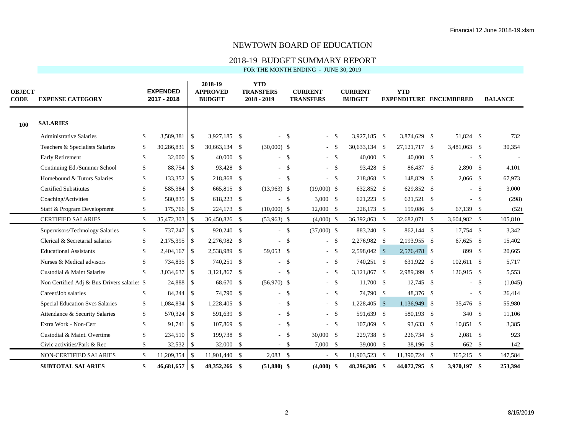## 2018-19 BUDGET SUMMARY REPORT

| <b>OBJECT</b><br>CODE | <b>EXPENSE CATEGORY</b>                     |              | <b>EXPENDED</b><br>2017 - 2018 |                | 2018-19<br><b>APPROVED</b><br><b>BUDGET</b> |      | <b>YTD</b><br><b>TRANSFERS</b><br>2018 - 2019 |              | <b>CURRENT</b><br><b>TRANSFERS</b> | <b>CURRENT</b><br><b>BUDGET</b> | <b>YTD</b>      | <b>EXPENDITURE ENCUMBERED</b> |        | <b>BALANCE</b> |
|-----------------------|---------------------------------------------|--------------|--------------------------------|----------------|---------------------------------------------|------|-----------------------------------------------|--------------|------------------------------------|---------------------------------|-----------------|-------------------------------|--------|----------------|
| 100                   | <b>SALARIES</b>                             |              |                                |                |                                             |      |                                               |              |                                    |                                 |                 |                               |        |                |
|                       | <b>Administrative Salaries</b>              | \$           | 3,589,381                      | <b>S</b>       | 3,927,185 \$                                |      |                                               | -S           | $-$ \$                             | 3,927,185 \$                    | 3,874,629 \$    | 51,824 \$                     |        | 732            |
|                       | Teachers & Specialists Salaries             | \$           | 30,286,831                     | l \$           | 30,663,134 \$                               |      | $(30,000)$ \$                                 |              | - \$                               | 30,633,134 \$                   | 27, 121, 717 \$ | 3,481,063 \$                  |        | 30,354         |
|                       | Early Retirement                            | $\mathbb{S}$ | 32,000                         | l \$           | $40,000$ \$                                 |      |                                               | $-$ \$       | $-$ \$                             | 40,000 \$                       | 40,000 \$       | $\sim$                        | -\$    |                |
|                       | Continuing Ed./Summer School                | \$           | 88,754                         | l \$           | 93,428 \$                                   |      |                                               | $-$ \$       | $-$ \$                             | 93,428 \$                       | 86,437 \$       | $2,890$ \$                    |        | 4,101          |
|                       | Homebound & Tutors Salaries                 | $\mathbb{S}$ | 133,352                        | l \$           | 218,868 \$                                  |      |                                               | $-$ \$       | $-$ \$                             | 218,868 \$                      | 148,829 \$      | $2,066$ \$                    |        | 67,973         |
|                       | <b>Certified Substitutes</b>                | \$           | 585,384 \$                     |                | 665,815 \$                                  |      | $(13,963)$ \$                                 |              | $(19,000)$ \$                      | 632,852 \$                      | 629,852 \$      |                               | $-$ \$ | 3,000          |
|                       | Coaching/Activities                         | \$.          | 580,835                        | l s            | 618,223 \$                                  |      |                                               | $-$ \$       | $3,000$ \$                         | 621,223 \$                      | 621,521 \$      |                               | $-$ \$ | (298)          |
|                       | Staff & Program Development                 | \$           | 175,766                        | 1 S            | 224,173 \$                                  |      | $(10,000)$ \$                                 |              | $12,000$ \$                        | 226,173 \$                      | 159,086 \$      | $67,139$ \$                   |        | (52)           |
|                       | <b>CERTIFIED SALARIES</b>                   | \$           | 35,472,303                     | l \$           | 36,450,826 \$                               |      | $(53,963)$ \$                                 |              | $(4,000)$ \$                       | 36,392,863 \$                   | 32,682,071 \$   | 3,604,982 \$                  |        | 105,810        |
|                       | Supervisors/Technology Salaries             | $\mathbb{S}$ | 737,247                        | l \$           | 920,240 \$                                  |      |                                               | $-$ \$       | $(37,000)$ \$                      | 883,240 \$                      | 862,144 \$      | 17,754 \$                     |        | 3,342          |
|                       | Clerical & Secretarial salaries             | \$           | 2,175,395                      | l \$           | 2,276,982 \$                                |      |                                               | $\mathbb{S}$ | $-$ \$                             | 2,276,982 \$                    | 2,193,955 \$    | 67,625 \$                     |        | 15,402         |
|                       | <b>Educational Assistants</b>               | \$           | 2,404,167                      | l \$           | 2,538,989 \$                                |      | 59,053 \$                                     |              | $-$ \$                             | 2,598,042 \$                    | 2,576,478 \$    | 899 \$                        |        | 20,665         |
|                       | Nurses & Medical advisors                   | \$           | 734,835                        | $\overline{1}$ | 740,251 \$                                  |      |                                               | $-$ \$       | $-$ \$                             | 740,251 \$                      | 631,922 \$      | $102,611$ \$                  |        | 5,717          |
|                       | Custodial & Maint Salaries                  | $\mathbb{S}$ | 3,034,637                      | l \$           | 3,121,867                                   | -\$  |                                               | $-$ \$       | $-$ \$                             | 3,121,867 \$                    | 2,989,399 \$    | $126,915$ \$                  |        | 5,553          |
|                       | Non Certified Adj & Bus Drivers salaries \$ |              | 24,888 \$                      |                | 68,670 \$                                   |      | $(56,970)$ \$                                 |              | $-$ \$                             | 11,700 \$                       | $12,745$ \$     |                               | $-$ \$ | (1,045)        |
|                       | Career/Job salaries                         | \$           | 84,244 \$                      |                | 74,790 \$                                   |      |                                               | $-$ \$       | $-$ \$                             | 74,790 \$                       | 48,376 \$       |                               | $-$ \$ | 26,414         |
|                       | Special Education Svcs Salaries             | \$           | 1,084,834 \$                   |                | 1,228,405 \$                                |      |                                               | $-$ \$       | $-$ \$                             | 1,228,405 \$                    | $1,136,949$ \$  | 35,476 \$                     |        | 55,980         |
|                       | Attendance & Security Salaries              | \$           | 570,324 \$                     |                | 591,639                                     | - \$ |                                               | $-$ \$       | $-$ \$                             | 591,639 \$                      | 580,193 \$      | 340 \$                        |        | 11,106         |
|                       | Extra Work - Non-Cert                       | \$           | $91,741$ \\$                   |                | 107,869                                     | - \$ |                                               | $-$ \$       | $-$ \$                             | 107,869 \$                      | 93,633 \$       | 10,851 \$                     |        | 3,385          |
|                       | Custodial & Maint. Overtime                 | \$           | 234,510 \$                     |                | 199,738 \$                                  |      |                                               | $-$ \$       | 30,000 \$                          | 229,738 \$                      | 226,734 \$      | $2,081$ \$                    |        | 923            |
|                       | Civic activities/Park & Rec                 | \$           |                                |                | 32,000 \$                                   |      |                                               | $-$ \$       | $7,000$ \$                         | 39,000 \$                       | 38,196 \$       | 662 \$                        |        | 142            |
|                       | NON-CERTIFIED SALARIES                      | $\mathbb{S}$ | $11,209,354$ \$                |                | 11,901,440 \$                               |      | $2,083$ \$                                    |              | $-$ \$                             | 11,903,523 \$                   | 11,390,724 \$   | 365,215 \$                    |        | 147,584        |
|                       | <b>SUBTOTAL SALARIES</b>                    | \$           | 46,681,657                     | $\overline{1}$ | 48,352,266 \$                               |      | $(51,880)$ \$                                 |              | $(4,000)$ \$                       | 48,296,386 \$                   | 44,072,795 \$   | 3,970,197 \$                  |        | 253,394        |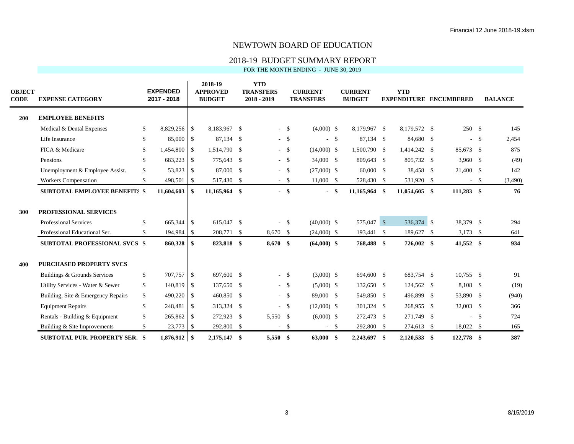## 2018-19 BUDGET SUMMARY REPORT

| <b>OBJECT</b><br><b>CODE</b> | <b>EXPENSE CATEGORY</b>              |               | <b>EXPENDED</b><br>2017 - 2018 |                               |               |      |            |              | 2018-19<br><b>APPROVED</b><br><b>BUDGET</b> |          | <b>YTD</b><br><b>TRANSFERS</b><br>$2018 - 2019$ |     | <b>CURRENT</b><br><b>TRANSFERS</b> |      | <b>CURRENT</b><br><b>BUDGET</b> |              | <b>YTD</b> |  | <b>EXPENDITURE ENCUMBERED</b> |  | <b>BALANCE</b> |
|------------------------------|--------------------------------------|---------------|--------------------------------|-------------------------------|---------------|------|------------|--------------|---------------------------------------------|----------|-------------------------------------------------|-----|------------------------------------|------|---------------------------------|--------------|------------|--|-------------------------------|--|----------------|
| <b>200</b>                   | <b>EMPLOYEE BENEFITS</b>             |               |                                |                               |               |      |            |              |                                             |          |                                                 |     |                                    |      |                                 |              |            |  |                               |  |                |
|                              | Medical & Dental Expenses            | \$            | 8,829,256 \$                   |                               | 8,183,967 \$  |      |            | $-$ \$       | $(4,000)$ \$                                |          | 8,179,967 \$                                    |     | 8,179,572 \$                       |      | 250S                            |              | 145        |  |                               |  |                |
|                              | Life Insurance                       | $\mathbb{S}$  | 85,000                         | $\overline{\phantom{a}}$      | 87,134 \$     |      |            | $-$ \$       |                                             | <b>S</b> | 87,134 \$                                       |     | 84,680 \$                          |      | $\overline{\phantom{0}}$        | $\mathbb{S}$ | 2,454      |  |                               |  |                |
|                              | FICA & Medicare                      | $\mathbb{S}$  | 1,454,800                      | $\overline{\phantom{a}}$      | 1,514,790 \$  |      |            | $-$ \$       | $(14,000)$ \$                               |          | 1,500,790 \$                                    |     | 1,414,242 \$                       |      | 85,673 \$                       |              | 875        |  |                               |  |                |
|                              | Pensions                             | \$            | 683,223                        | $\overline{\phantom{a}}$      | 775,643       | - \$ |            | $-$ \$       | 34,000 \$                                   |          | 809,643 \$                                      |     | 805,732 \$                         |      | $3,960$ \$                      |              | (49)       |  |                               |  |                |
|                              | Unemployment & Employee Assist.      | \$            | 53,823                         | $\overline{\phantom{a}}$      | 87,000 \$     |      |            | $-$ \$       | $(27,000)$ \$                               |          | 60,000 \$                                       |     | 38,458 \$                          |      | 21,400 \$                       |              | 142        |  |                               |  |                |
|                              | <b>Workers Compensation</b>          | \$            | 498,501                        | $\overline{1}$                | 517,430 \$    |      |            | $-$ \$       | $11,000$ \$                                 |          | 528,430 \$                                      |     | 531,920                            | - \$ | $\sim$                          | $\mathbb{S}$ | (3,490)    |  |                               |  |                |
|                              | <b>SUBTOTAL EMPLOYEE BENEFITS \$</b> |               | 11,604,603                     | <b>S</b>                      | 11,165,964 \$ |      |            | $-$ \$       |                                             | - \$     | 11,165,964 \$                                   |     | 11,054,605 \$                      |      | 111,283 \$                      |              | 76         |  |                               |  |                |
| 300                          | PROFESSIONAL SERVICES                |               |                                |                               |               |      |            |              |                                             |          |                                                 |     |                                    |      |                                 |              |            |  |                               |  |                |
|                              | <b>Professional Services</b>         | $\mathbb{S}$  | 665,344 \$                     |                               | 615,047 \$    |      |            | $-$ \$       | $(40,000)$ \$                               |          | 575,047 \$                                      |     | 536,374 \$                         |      | 38,379 \$                       |              | 294        |  |                               |  |                |
|                              | Professional Educational Ser.        | \$.           | 194,984                        | $\overline{\phantom{a}}$ s    | 208,771 \$    |      | 8,670 \$   |              | $(24,000)$ \$                               |          | 193,441 \$                                      |     | 189,627                            | -\$  | $3,173$ \$                      |              | 641        |  |                               |  |                |
|                              | <b>SUBTOTAL PROFESSIONAL SVCS \$</b> |               | 860,328                        | -S                            | 823,818 \$    |      | $8,670$ \$ |              | $(64,000)$ \$                               |          | 768,488 \$                                      |     | 726,002 \$                         |      | 41,552 \$                       |              | 934        |  |                               |  |                |
| 400                          | <b>PURCHASED PROPERTY SVCS</b>       |               |                                |                               |               |      |            |              |                                             |          |                                                 |     |                                    |      |                                 |              |            |  |                               |  |                |
|                              | Buildings & Grounds Services         | \$            | 707,757                        | $\overline{\phantom{a}}$      | 697,600 \$    |      |            | $-$ \$       | $(3,000)$ \$                                |          | 694,600 \$                                      |     | 683,754 \$                         |      | $10,755$ \$                     |              | 91         |  |                               |  |                |
|                              | Utility Services - Water & Sewer     | $\mathbb{S}$  | 140,819                        | $\overline{\phantom{a}}$      | 137,650 \$    |      |            | $-$ \$       | $(5,000)$ \$                                |          | 132,650 \$                                      |     | 124,562 \$                         |      | 8,108 \$                        |              | (19)       |  |                               |  |                |
|                              | Building, Site & Emergency Repairs   | \$            | 490,220                        | $\overline{\phantom{a}}$      | 460,850 \$    |      |            | $-$ \$       | 89,000 \$                                   |          | 549,850 \$                                      |     | 496,899                            | -\$  | 53,890 \$                       |              | (940)      |  |                               |  |                |
|                              | <b>Equipment Repairs</b>             | \$            | 248,481                        | $\overline{1}$                | 313,324 \$    |      |            | $-$ \$       | $(12,000)$ \$                               |          | 301,324 \$                                      |     | 268,955 \$                         |      | 32,003 \$                       |              | 366        |  |                               |  |                |
|                              | Rentals - Building & Equipment       | \$            | 265,862                        | $\overline{\phantom{a}}$ 1 \$ | 272,923       | - \$ | 5,550 \$   |              | $(6,000)$ \$                                |          | 272,473 \$                                      |     | 271,749                            | - \$ | $\overline{a}$                  | $\mathbb{S}$ | 724        |  |                               |  |                |
|                              | Building & Site Improvements         | $\mathcal{S}$ | 23,773                         | $\vert$ \$                    | 292,800 \$    |      | $\sim$     | $\mathbb{S}$ |                                             | $-$ \$   | 292,800 \$                                      |     | 274,613 \$                         |      | 18,022 \$                       |              | 165        |  |                               |  |                |
|                              | <b>SUBTOTAL PUR. PROPERTY SER.</b>   | - \$          | $1,876,912$ \$                 |                               | 2,175,147 \$  |      | 5,550      | -\$          | 63,000                                      | -\$      | 2,243,697                                       | -\$ | $2,120,533$ \$                     |      | 122,778 \$                      |              | 387        |  |                               |  |                |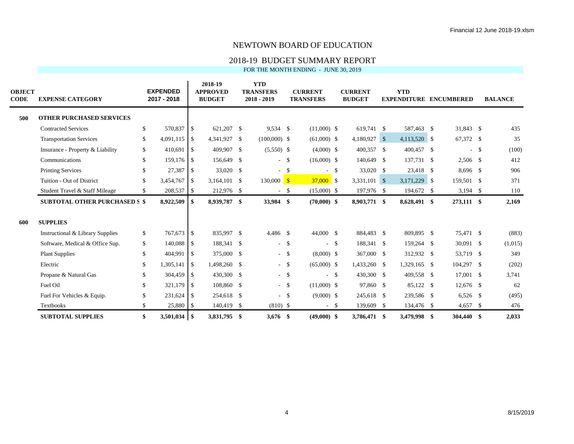## 2018-19 BUDGET SUMMARY REPORT

| <b>OBJECT</b><br><b>CODE</b> | <b>EXPENSE CATEGORY</b>              |              | <b>EXPENDED</b><br>2017 - 2018 |                |                |               |                |              |               |        | 2018-19<br><b>APPROVED</b><br><b>BUDGET</b> |  | <b>YTD</b><br><b>TRANSFERS</b><br>$2018 - 2019$ |            | <b>CURRENT</b><br><b>TRANSFERS</b> |         | <b>CURRENT</b><br><b>BUDGET</b> |  | <b>YTD</b><br><b>EXPENDITURE ENCUMBERED</b> |  |  | <b>BALANCE</b> |
|------------------------------|--------------------------------------|--------------|--------------------------------|----------------|----------------|---------------|----------------|--------------|---------------|--------|---------------------------------------------|--|-------------------------------------------------|------------|------------------------------------|---------|---------------------------------|--|---------------------------------------------|--|--|----------------|
| 500                          | <b>OTHER PURCHASED SERVICES</b>      |              |                                |                |                |               |                |              |               |        |                                             |  |                                                 |            |                                    |         |                                 |  |                                             |  |  |                |
|                              | <b>Contracted Services</b>           | \$           | 570,837 \$                     |                | 621,207 \$     |               | 9,534 \$       |              | $(11,000)$ \$ |        | 619,741 \$                                  |  | 587,463 \$                                      | 31,843 \$  |                                    | 435     |                                 |  |                                             |  |  |                |
|                              | <b>Transportation Services</b>       | \$           | $4,091,115$ \$                 |                | 4,341,927 \$   |               | $(100,000)$ \$ |              | $(61,000)$ \$ |        | 4,180,927 \$                                |  | 4,113,520 \$                                    | 67,372 \$  |                                    | 35      |                                 |  |                                             |  |  |                |
|                              | Insurance - Property & Liability     | \$           | 410,691                        | $\vert$ \$     | 409,907 \$     |               | $(5,550)$ \$   |              | $(4,000)$ \$  |        | 400,357 \$                                  |  | 400,457 \$                                      |            | $-$ \$                             | (100)   |                                 |  |                                             |  |  |                |
|                              | Communications                       | \$           | 159,176 \$                     |                | 156,649 \$     |               |                | $-$ \$       | $(16,000)$ \$ |        | 140,649 \$                                  |  | 137,731 \$                                      | 2,506 \$   |                                    | 412     |                                 |  |                                             |  |  |                |
|                              | <b>Printing Services</b>             | $\mathbb{S}$ | 27,387                         | $\overline{1}$ | 33,020 \$      |               | $\sim$         | $\mathbb{S}$ | $-$ \$        |        | 33,020 \$                                   |  | 23,418 \$                                       | 8,696 \$   |                                    | 906     |                                 |  |                                             |  |  |                |
|                              | Tuition - Out of District            | \$           |                                |                | $3,164,101$ \$ |               | $130,000$ \$   |              | $37,000$ \$   |        | 3,331,101 \$                                |  | $3,171,229$ \$                                  | 159,501 \$ |                                    | 371     |                                 |  |                                             |  |  |                |
|                              | Student Travel & Staff Mileage       | \$           | 208,537 \$                     |                | 212,976 \$     |               |                | $-$ \$       | $(15,000)$ \$ |        | 197,976 \$                                  |  | 194,672 \$                                      | $3,194$ \$ |                                    | 110     |                                 |  |                                             |  |  |                |
|                              | <b>SUBTOTAL OTHER PURCHASED S \$</b> |              | 8,922,509 \$                   |                | 8,939,787 \$   |               | 33,984 \$      |              | $(70,000)$ \$ |        | 8,903,771 \$                                |  | 8,628,491 \$                                    | 273,111 \$ |                                    | 2,169   |                                 |  |                                             |  |  |                |
| 600                          | <b>SUPPLIES</b>                      |              |                                |                |                |               |                |              |               |        |                                             |  |                                                 |            |                                    |         |                                 |  |                                             |  |  |                |
|                              | Instructional & Library Supplies     | \$           | 767,673 \$                     |                | 835,997 \$     |               | $4,486$ \$     |              | 44,000 \$     |        | 884,483 \$                                  |  | 809,895 \$                                      | 75,471 \$  |                                    | (883)   |                                 |  |                                             |  |  |                |
|                              | Software, Medical & Office Sup.      | \$           | 140,088 \$                     |                | 188,341        | <sup>\$</sup> |                | $-$ \$       |               | $-$ \$ | 188,341 \$                                  |  | 159,264 \$                                      | 30,091 \$  |                                    | (1,015) |                                 |  |                                             |  |  |                |
|                              | <b>Plant Supplies</b>                | $\mathbb{S}$ | 404,991 \$                     |                | 375,000 \$     |               |                | $-$ \$       | $(8,000)$ \$  |        | 367,000 \$                                  |  | 312,932 \$                                      | 53,719 \$  |                                    | 349     |                                 |  |                                             |  |  |                |
|                              | Electric                             | \$           | 1,305,141                      | $\overline{1}$ | 1,498,260 \$   |               |                | $-$ \$       | $(65,000)$ \$ |        | 1,433,260 \$                                |  | 1,329,165 \$                                    | 104,297 \$ |                                    | (202)   |                                 |  |                                             |  |  |                |
|                              | Propane & Natural Gas                | \$           | 304,459 \$                     |                | 430,300        | <b>S</b>      |                | $-$ \$       |               | $-$ \$ | 430,300 \$                                  |  | 409,558 \$                                      | 17,001 \$  |                                    | 3,741   |                                 |  |                                             |  |  |                |
|                              | Fuel Oil                             | \$           | 321,179 \$                     |                | 108,860 \$     |               |                | $-$ \$       | $(11,000)$ \$ |        | 97,860 \$                                   |  | 85,122 \$                                       | 12,676 \$  |                                    | 62      |                                 |  |                                             |  |  |                |
|                              | Fuel For Vehicles & Equip.           | \$           | $231,624$ \$                   |                | 254,618 \$     |               |                | $-$ \$       | $(9,000)$ \$  |        | 245,618 \$                                  |  | 239,586 \$                                      | $6,526$ \$ |                                    | (495)   |                                 |  |                                             |  |  |                |
|                              | <b>Textbooks</b>                     | \$           | 25,880 \$                      |                | 140,419 \$     |               | $(810)$ \$     |              | $-$ \$        |        | 139,609 \$                                  |  | 134,476 \$                                      | $4,657$ \$ |                                    | 476     |                                 |  |                                             |  |  |                |
|                              | <b>SUBTOTAL SUPPLIES</b>             | \$           |                                |                | 3.831.795 \$   |               | $3,676$ \$     |              | $(49,000)$ \$ |        | 3,786,471 \$                                |  | 3,479,998 \$                                    | 304,440 \$ |                                    | 2,033   |                                 |  |                                             |  |  |                |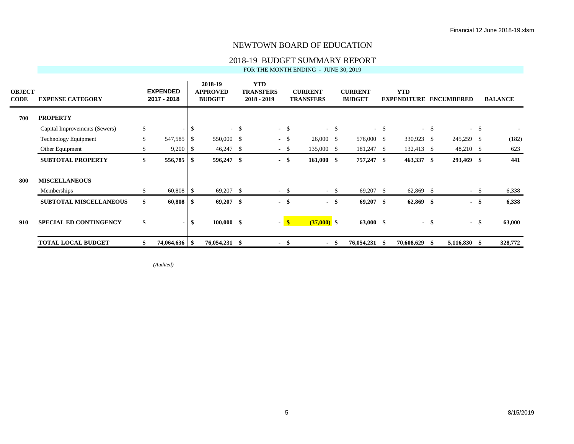### 2018-19 BUDGET SUMMARY REPORT

FOR THE MONTH ENDING - JUNE 30, 2019

| <b>OBJECT</b><br>CODE | <b>EXPENSE CATEGORY</b>       |              | <b>EXPENDED</b><br>2017 - 2018 |          | 2018-19<br><b>APPROVED</b><br><b>BUDGET</b> |        | <b>YTD</b><br><b>TRANSFERS</b><br>$2018 - 2019$ |        | <b>CURRENT</b><br><b>TRANSFERS</b> |        | <b>CURRENT</b><br><b>BUDGET</b> |        | <b>YTD</b><br><b>EXPENDITURE</b> |        | <b>ENCUMBERED</b> |        | <b>BALANCE</b> |
|-----------------------|-------------------------------|--------------|--------------------------------|----------|---------------------------------------------|--------|-------------------------------------------------|--------|------------------------------------|--------|---------------------------------|--------|----------------------------------|--------|-------------------|--------|----------------|
| 700                   | <b>PROPERTY</b>               |              |                                |          |                                             |        |                                                 |        |                                    |        |                                 |        |                                  |        |                   |        |                |
|                       | Capital Improvements (Sewers) | \$           |                                | - \$     |                                             | $-$ \$ |                                                 | $-$ \$ |                                    | $-$ \$ |                                 | $-$ \$ |                                  | $-$ \$ | $-$ \$            |        |                |
|                       | <b>Technology Equipment</b>   | $\mathbb{S}$ | 547,585                        | l \$     | 550,000 \$                                  |        |                                                 | $-$ \$ | $26,000 \quad$ \$                  |        | 576,000 \$                      |        | 330,923 \$                       |        | 245,259 \$        |        | (182)          |
|                       | Other Equipment               |              | 9,200                          | l S      | 46,247                                      | -S     |                                                 | $-$ \$ | 135,000 \$                         |        | 181,247 \$                      |        | 132,413 \$                       |        | $48,210$ \$       |        | 623            |
|                       | <b>SUBTOTAL PROPERTY</b>      | \$           | 556,785                        | l SS     | 596,247 \$                                  |        |                                                 | $-$ \$ | $161,000$ \$                       |        | 757,247 \$                      |        | 463,337 \$                       |        | 293,469 \$        |        | 441            |
| 800                   | <b>MISCELLANEOUS</b>          |              |                                |          |                                             |        |                                                 |        |                                    |        |                                 |        |                                  |        |                   |        |                |
|                       | Memberships                   | \$           | 60,808                         |          | 69,207 \$                                   |        |                                                 | $-$ \$ |                                    | $-$ \$ | $69,207$ \$                     |        | $62,869$ \$                      |        |                   | $-$ \$ | 6,338          |
|                       | <b>SUBTOTAL MISCELLANEOUS</b> | \$           | 60,808                         |          | 69,207                                      | -\$    | $\sim$                                          | S,     |                                    | $-$ \$ | $69,207$ \$                     |        | 62,869                           | - \$   | $\sim$            | -\$    | 6,338          |
| 910                   | <b>SPECIAL ED CONTINGENCY</b> | \$           | $\blacksquare$                 | <b>S</b> | $100,000$ \$                                |        |                                                 | - 8    | $(37,000)$ \$                      |        | $63,000$ \$                     |        |                                  | - \$   | $-$ \$            |        | 63,000         |
|                       | <b>TOTAL LOCAL BUDGET</b>     | \$           | 74,064,636   \$                |          | 76,054,231 \$                               |        |                                                 | - \$   |                                    | - \$   | 76,054,231 \$                   |        | 70,608,629                       | - \$   | 5,116,830 \$      |        | 328,772        |

*(Audited)*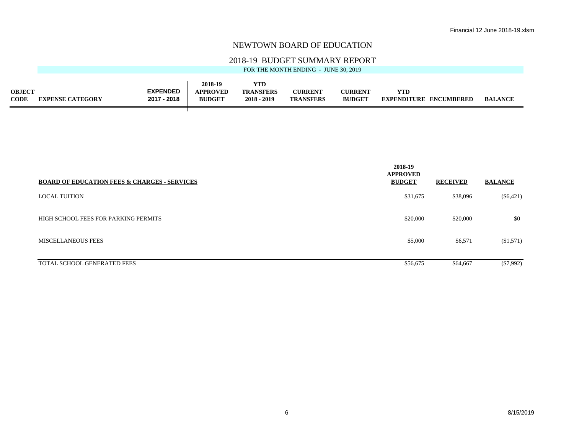### 2018-19 BUDGET SUMMARY REPORT

|             |                         |                 | 2018-19         | <b>YTD</b>       |                  |                |                        |                |
|-------------|-------------------------|-----------------|-----------------|------------------|------------------|----------------|------------------------|----------------|
| OBJECT      |                         | <b>EXPENDED</b> | <b>APPROVED</b> | <b>TRANSFERS</b> | <b>CURRENT</b>   | <b>CURRENT</b> | YTD                    |                |
| <b>CODE</b> | <b>EXPENSE CATEGORY</b> | 2017 - 2018     | <b>BUDGET</b>   | $2018 - 2019$    | <b>TRANSFERS</b> | <b>BUDGET</b>  | EXPENDITURE ENCUMBERED | <b>BALANCE</b> |
|             |                         |                 |                 |                  |                  |                |                        |                |
|             |                         |                 |                 |                  |                  |                |                        |                |

| <b>BOARD OF EDUCATION FEES &amp; CHARGES - SERVICES</b> | 2018-19<br><b>APPROVED</b><br><b>BUDGET</b> | <b>RECEIVED</b> | <b>BALANCE</b> |
|---------------------------------------------------------|---------------------------------------------|-----------------|----------------|
| <b>LOCAL TUITION</b>                                    | \$31,675                                    | \$38,096        | $(\$6,421)$    |
| HIGH SCHOOL FEES FOR PARKING PERMITS                    | \$20,000                                    | \$20,000        | \$0            |
| <b>MISCELLANEOUS FEES</b>                               | \$5,000                                     | \$6,571         | (\$1,571)      |
| TOTAL SCHOOL GENERATED FEES                             | \$56,675                                    | \$64,667        | $(\$7,992)$    |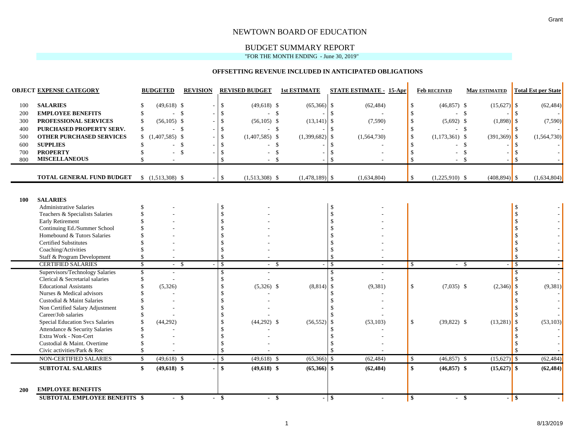## BUDGET SUMMARY REPORT

#### "FOR THE MONTH ENDING - June 30, 2019"

#### **OFFSETTING REVENUE INCLUDED IN ANTICIPATED OBLIGATIONS**

|            | <b>OBJECT EXPENSE CATEGORY</b>                           | <b>BUDGETED</b>                    | <b>REVISION</b>    | <b>REVISED BUDGET</b>                    | <b>1st ESTIMATE</b> | <b>STATE ESTIMATE - 15-Apr</b> | <b>Feb RECEIVED</b>                                          | <b>May ESTIMATED</b>    | <b>Total Est per State</b> |
|------------|----------------------------------------------------------|------------------------------------|--------------------|------------------------------------------|---------------------|--------------------------------|--------------------------------------------------------------|-------------------------|----------------------------|
| 100        | <b>SALARIES</b>                                          | $(49,618)$ \$<br>\$.               |                    | $\mathbb{S}$<br>$(49,618)$ \$            | (65,366)            | (62, 484)<br>- \$              | $(46,857)$ \$<br>\$                                          | $(15,627)$ \$           | (62, 484)                  |
| 200        | <b>EMPLOYEE BENEFITS</b>                                 | $-5$<br>$\mathcal{S}$              |                    | $-$ \$<br>\$                             |                     |                                | <sup>\$</sup>                                                | $-$ \$                  |                            |
| 300        | PROFESSIONAL SERVICES                                    | $(56,105)$ \$<br>\$                |                    | $(56, 105)$ \$                           | (13, 141)           | -\$<br>(7,590)                 | $(5,692)$ \$<br><sup>\$</sup>                                | $(1,898)$ \$            | (7,590)                    |
| 400        | PURCHASED PROPERTY SERV.                                 | $-$ \$<br>\$.                      |                    | $- S$                                    |                     |                                |                                                              | - \$                    |                            |
| 500        | <b>OTHER PURCHASED SERVICES</b>                          | $(1,407,585)$ \$<br>\$             |                    | $(1,407,585)$ \$<br>$\mathbb{S}$         | $(1,399,682)$ \$    | (1, 564, 730)                  | \$<br>$(1,173,361)$ \$                                       | $(391,369)$ \$          | (1, 564, 730)              |
| 600        | <b>SUPPLIES</b>                                          | \$                                 | $\mathbf{\hat{S}}$ | - \$                                     |                     |                                |                                                              | $\mathbf{s}$            |                            |
| 700        | <b>PROPERTY</b>                                          | \$                                 | $\mathcal{S}$      |                                          | $\mathcal{S}$       |                                | $\overline{a}$                                               | $\mathcal{S}$           |                            |
| 800        | <b>MISCELLANEOUS</b>                                     |                                    |                    | \$<br>$-5$                               |                     | \$                             | $\mathbf{\hat{S}}$                                           | $-$ \$                  |                            |
|            |                                                          |                                    |                    |                                          |                     |                                |                                                              |                         |                            |
|            | TOTAL GENERAL FUND BUDGET                                | $$(1,513,308)$ \, \, \,            |                    | $\mathbf{\hat{s}}$<br>$(1,513,308)$ \$   | $(1,478,189)$ \$    | (1,634,804)                    | $\mathbb{S}$<br>$(1,225,910)$ \$                             | $(408, 894)$ \$         | (1,634,804)                |
|            |                                                          |                                    |                    |                                          |                     |                                |                                                              |                         |                            |
| 100        | <b>SALARIES</b>                                          |                                    |                    |                                          |                     |                                |                                                              |                         |                            |
|            | <b>Administrative Salaries</b>                           | \$                                 |                    | \$                                       |                     | $\mathcal{S}$                  |                                                              |                         |                            |
|            | Teachers & Specialists Salaries                          |                                    |                    |                                          |                     | \$                             |                                                              |                         |                            |
|            | Early Retirement                                         |                                    |                    |                                          |                     |                                |                                                              |                         |                            |
|            | Continuing Ed./Summer School                             |                                    |                    |                                          |                     |                                |                                                              |                         |                            |
|            | Homebound & Tutors Salaries                              |                                    |                    |                                          |                     |                                |                                                              |                         |                            |
|            | <b>Certified Substitutes</b>                             |                                    |                    |                                          |                     |                                |                                                              |                         |                            |
|            | Coaching/Activities                                      | \$                                 |                    | $\mathbb{S}$<br>$\mathbb{S}$             |                     | $\mathcal{S}$                  |                                                              |                         |                            |
|            | Staff & Program Development<br><b>CERTIFIED SALARIES</b> | $\overline{\mathcal{S}}$<br>$\sim$ | -\$                | $\mathcal{S}$                            | $\mathcal{S}$       | $\overline{\mathbf{s}}$        | $\mathsf{S}$                                                 | $-$ \$                  | $-1s$                      |
|            | Supervisors/Technology Salaries                          | $\overline{\mathcal{S}}$           |                    | $\mathbf{s}$                             |                     | $\mathcal{S}$                  |                                                              |                         | $\mathcal{S}$              |
|            | Clerical & Secretarial salaries                          | \$                                 |                    |                                          |                     | $\mathcal{S}$                  |                                                              |                         |                            |
|            | <b>Educational Assistants</b>                            | (5,326)                            |                    | $(5,326)$ \$                             | (8, 814)            | (9, 381)<br>\$                 | \$<br>$(7,035)$ \$                                           | $(2,346)$ \$            | (9, 381)                   |
|            | Nurses & Medical advisors                                |                                    |                    |                                          |                     |                                |                                                              |                         |                            |
|            | Custodial & Maint Salaries                               |                                    |                    |                                          |                     | $\mathcal{S}$                  |                                                              |                         |                            |
|            | Non Certified Salary Adjustment                          |                                    |                    |                                          |                     |                                |                                                              |                         |                            |
|            | Career/Job salaries                                      |                                    |                    |                                          |                     |                                |                                                              |                         |                            |
|            | Special Education Svcs Salaries                          | (44, 292)<br>\$                    |                    | $(44,292)$ \$                            | (56, 552)           | (53, 103)<br>-\$               | \$<br>$(39,822)$ \$                                          | $(13,281)$ \$           | (53, 103)                  |
|            | Attendance & Security Salaries                           |                                    |                    |                                          |                     |                                |                                                              |                         |                            |
|            | Extra Work - Non-Cert                                    |                                    |                    |                                          |                     |                                |                                                              |                         |                            |
|            | Custodial & Maint. Overtime                              |                                    |                    |                                          |                     |                                |                                                              |                         |                            |
|            | Civic activities/Park & Rec                              |                                    |                    | \$                                       |                     | \$                             |                                                              |                         |                            |
|            | NON-CERTIFIED SALARIES                                   | $(49,618)$ \$<br>$\mathbb{S}$      |                    | $\overline{\mathbf{s}}$<br>$(49,618)$ \$ | $(65,366)$ \$       | (62, 484)                      | $\sqrt{S}$<br>$(46,857)$ \$                                  | $(15,627)$ \$           | (62, 484)                  |
|            | <b>SUBTOTAL SALARIES</b>                                 | \$<br>$(49,618)$ \$                |                    | $\mathbf{s}$<br>$(49,618)$ \$            | $(65,366)$ \$       | (62, 484)                      | $\mathbf{s}$<br>$(46,857)$ \$                                | $(15,627)$ \$           | (62, 484)                  |
|            |                                                          |                                    |                    |                                          |                     |                                |                                                              |                         |                            |
| <b>200</b> | <b>EMPLOYEE BENEFITS</b>                                 |                                    |                    |                                          |                     |                                |                                                              |                         |                            |
|            | <b>SUBTOTAL EMPLOYEE BENEFITS \$</b>                     | $-$ \$                             |                    | - \$<br>- \$                             |                     | $-$ \$                         | $\overline{\boldsymbol{\theta}}$<br>$\overline{\phantom{0}}$ | $\overline{\mathbf{s}}$ | $-1$ \$                    |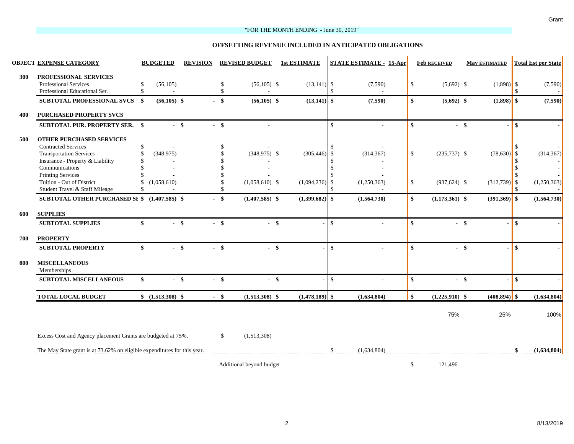#### "FOR THE MONTH ENDING - June 30, 2019"

#### **OFFSETTING REVENUE INCLUDED IN ANTICIPATED OBLIGATIONS**

|     | <b>OBJECT EXPENSE CATEGORY</b>                                                          | <b>BUDGETED</b>                         | <b>REVISION</b> |                    | <b>REVISED BUDGET</b>    | <b>1st ESTIMATE</b> |               | <b>STATE ESTIMATE - 15-Apr</b> |                                 | <b>Feb RECEIVED</b> | <b>May ESTIMATED</b> |              | <b>Total Est per State</b> |
|-----|-----------------------------------------------------------------------------------------|-----------------------------------------|-----------------|--------------------|--------------------------|---------------------|---------------|--------------------------------|---------------------------------|---------------------|----------------------|--------------|----------------------------|
| 300 | PROFESSIONAL SERVICES<br>Professional Services<br>Professional Educational Ser.         | \$<br>(56, 105)<br>\$<br>$\overline{a}$ |                 | $\mathbf{\hat{S}}$ | $(56,105)$ \$<br>$\sim$  | $(13,141)$ \$       | $\mathcal{S}$ | (7,590)                        | \$                              | $(5,692)$ \$        | $(1,898)$ \$         |              | (7, 590)                   |
|     | <b>SUBTOTAL PROFESSIONAL SVCS</b>                                                       | - \$<br>$(56,105)$ \$                   |                 | $\mathbf{s}$       | $(56, 105)$ \$           | $(13,141)$ \$       |               | (7,590)                        | \$                              | $(5,692)$ \$        | $(1,898)$ \$         |              | (7,590)                    |
| 400 | <b>PURCHASED PROPERTY SVCS</b>                                                          |                                         |                 |                    |                          |                     |               |                                |                                 |                     |                      |              |                            |
|     | <b>SUBTOTAL PUR. PROPERTY SER. \$</b>                                                   |                                         | $-$ \$          | $\mathbf{s}$       |                          |                     | \$            |                                | \$                              | $-$ \$              |                      | $\mathbf{s}$ |                            |
| 500 | <b>OTHER PURCHASED SERVICES</b><br><b>Contracted Services</b>                           | \$                                      |                 |                    |                          |                     | -\$           |                                |                                 |                     |                      |              |                            |
|     | <b>Transportation Services</b><br>Insurance - Property & Liability<br>Communications    | \$<br>(348, 975)                        |                 |                    | $(348,975)$ \$           | (305, 446)          | -\$<br>S.     | (314, 367)                     | \$                              | $(235,737)$ \$      | $(78, 630)$ \$       |              | (314, 367)                 |
|     | <b>Printing Services</b><br>Tuition - Out of District<br>Student Travel & Staff Mileage | \$<br>(1,058,610)<br>\$                 |                 | \$                 | $(1,058,610)$ \$         | (1,094,236)         | -\$<br>\$     | (1,250,363)                    | \$                              | $(937, 624)$ \$     | $(312,739)$ \$       | -8           | (1,250,363)                |
|     | SUBTOTAL OTHER PURCHASED SI \$ (1,407,585) \$                                           |                                         |                 | \$                 | $(1,407,585)$ \$         | $(1,399,682)$ \$    |               | (1,564,730)                    | \$                              | $(1,173,361)$ \$    | $(391,369)$ \$       |              | (1,564,730)                |
| 600 | <b>SUPPLIES</b>                                                                         |                                         |                 |                    |                          |                     |               |                                |                                 |                     |                      |              |                            |
|     | <b>SUBTOTAL SUPPLIES</b>                                                                | \$                                      | $-$ \$          | $\mathbf{s}$       | $-$ \$                   |                     | $\mathbf{s}$  |                                | \$                              | - \$                |                      | $\mathbf{s}$ |                            |
| 700 | <b>PROPERTY</b>                                                                         |                                         |                 |                    |                          |                     |               |                                |                                 |                     |                      |              |                            |
|     | <b>SUBTOTAL PROPERTY</b>                                                                | \$                                      | $-$ \$          | $\mathbf{\hat{s}}$ | $-$ \$                   |                     | $\mathbf{s}$  |                                | $\boldsymbol{\hat{\mathbf{s}}}$ | - \$                |                      | \$           |                            |
| 800 | <b>MISCELLANEOUS</b><br>Memberships                                                     |                                         |                 |                    |                          |                     |               |                                |                                 |                     |                      |              |                            |
|     | <b>SUBTOTAL MISCELLANEOUS</b>                                                           | \$                                      | $-$ \$          | $\mathbf{s}$       | $-$ \$                   |                     | $\mathbf{s}$  |                                | \$                              | $-$ \$              |                      | $\mathbf{s}$ |                            |
|     | <b>TOTAL LOCAL BUDGET</b>                                                               | $$(1,513,308)$ \$                       |                 | $\mathbf{s}$       | $(1,513,308)$ \$         | (1,478,189)         | $\mathbf{s}$  | (1,634,804)                    | $\mathbf{s}$                    | $(1,225,910)$ \$    | $(408, 894)$ \$      |              | (1,634,804)                |
|     |                                                                                         |                                         |                 |                    |                          |                     |               |                                |                                 | 75%                 | 25%                  |              | 100%                       |
|     | Excess Cost and Agency placement Grants are budgeted at 75%.                            |                                         |                 | \$                 | (1,513,308)              |                     |               |                                |                                 |                     |                      |              |                            |
|     | The May State grant is at 73.62% on eligible expenditures for this year.                |                                         |                 |                    |                          |                     | $\mathcal{S}$ | (1,634,804)                    |                                 |                     |                      |              | (1,634,804)                |
|     |                                                                                         |                                         |                 |                    | Additional beyond budget |                     |               |                                | $\mathbf{\hat{S}}$              | 121 496             |                      |              |                            |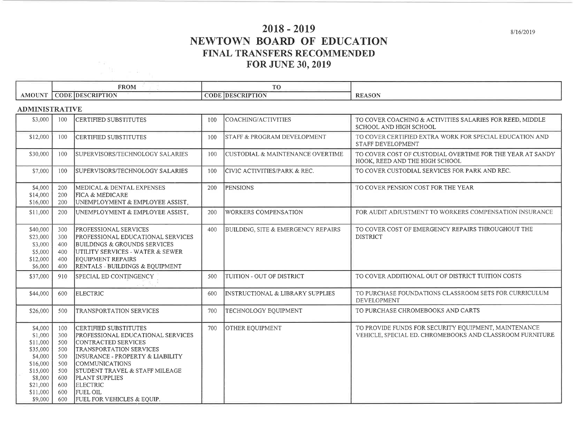# $2018 - 2019$ NEWTOWN BOARD OF EDUCATION FINAL TRANSFERS RECOMMENDED **FOR JUNE 30, 2019**

|          | ______<br><b>FROM</b>              | ______                                   |               |
|----------|------------------------------------|------------------------------------------|---------------|
| . AMOUNT | <b>HDESCRIPTION</b><br><b>CODE</b> | <b>CODE.</b><br>SCRIPTION<br><b>IDES</b> | <b>REASON</b> |

### **A DMINISTE A TIVE**

 $\frac{\sin\theta}{\sin\theta} = \sin\theta$ 

| ADINIUND I INA LLY E                                                                                                        |                                                                           |                                                                                                                                                                                                                                                                                                                                                      |     |                                               |                                                                                                                  |
|-----------------------------------------------------------------------------------------------------------------------------|---------------------------------------------------------------------------|------------------------------------------------------------------------------------------------------------------------------------------------------------------------------------------------------------------------------------------------------------------------------------------------------------------------------------------------------|-----|-----------------------------------------------|------------------------------------------------------------------------------------------------------------------|
| \$3,000                                                                                                                     | 100                                                                       | <b>CERTIFIED SUBSTITUTES</b>                                                                                                                                                                                                                                                                                                                         | 100 | COACHING/ACTIVITIES                           | TO COVER COACHING & ACTIVITIES SALARIES FOR REED, MIDDLE<br>SCHOOL AND HIGH SCHOOL                               |
| \$12,000                                                                                                                    | 100                                                                       | <b>CERTIFIED SUBSTITUTES</b>                                                                                                                                                                                                                                                                                                                         | 100 | <b>STAFF &amp; PROGRAM DEVELOPMENT</b>        | TO COVER CERTIFIED EXTRA WORK FOR SPECIAL EDUCATION AND<br>STAFF DEVELOPMENT                                     |
| \$30,000                                                                                                                    | 100                                                                       | SUPERVISORS/TECHNOLOGY SALARIES                                                                                                                                                                                                                                                                                                                      | 100 | <b>CUSTODIAL &amp; MAINTENANCE OVERTIME</b>   | TO COVER COST OF CUSTODIAL OVERTIME FOR THE YEAR AT SANDY<br>HOOK, REED AND THE HIGH SCHOOL                      |
| \$7,000                                                                                                                     | 100                                                                       | SUPERVISORS/TECHNOLOGY SALARIES                                                                                                                                                                                                                                                                                                                      | 100 | CIVIC ACTIVITIES/PARK & REC.                  | TO COVER CUSTODIAL SERVICES FOR PARK AND REC.                                                                    |
| \$4,000<br>\$14,000<br>\$16,000                                                                                             | 200<br>200<br>200                                                         | MEDICAL & DENTAL EXPENSES<br><b>FICA &amp; MEDICARE</b><br>UNEMPLOYMENT & EMPLOYEE ASSIST.                                                                                                                                                                                                                                                           | 200 | <b>PENSIONS</b>                               | TO COVER PENSION COST FOR THE YEAR                                                                               |
| \$11,000                                                                                                                    | 200                                                                       | UNEMPLOYMENT & EMPLOYEE ASSIST.                                                                                                                                                                                                                                                                                                                      | 200 | <b>WORKERS COMPENSATION</b>                   | FOR AUDIT ADJUSTMENT TO WORKERS COMPENSATION INSURANCE                                                           |
| \$40,000<br>\$23,000<br>\$3,000<br>\$5,000<br>\$12,000<br>\$6,000                                                           | 300<br>300<br>400<br>400<br>400<br>400                                    | <b>PROFESSIONAL SERVICES</b><br><b>PROFESSIONAL EDUCATIONAL SERVICES</b><br>BUILDINGS & GROUNDS SERVICES<br>UTILITY SERVICES - WATER & SEWER<br><b>EQUIPMENT REPAIRS</b><br><b>RENTALS - BUILDINGS &amp; EQUIPMENT</b>                                                                                                                               | 400 | <b>BUILDING, SITE &amp; EMERGENCY REPAIRS</b> | TO COVER COST OF EMERGENCY REPAIRS THROUGHOUT THE<br><b>DISTRICT</b>                                             |
| \$37,000                                                                                                                    | 910                                                                       | SPECIAL ED CONTINGENCY                                                                                                                                                                                                                                                                                                                               | 500 | TUITION - OUT OF DISTRICT                     | TO COVER ADDITIONAL OUT OF DISTRICT TUITION COSTS                                                                |
| \$44,000                                                                                                                    | 600                                                                       | <b>ELECTRIC</b>                                                                                                                                                                                                                                                                                                                                      | 600 | <b>INSTRUCTIONAL &amp; LIBRARY SUPPLIES</b>   | TO PURCHASE FOUNDATIONS CLASSROOM SETS FOR CURRICULUM<br><b>DEVELOPMENT</b>                                      |
| \$26,000                                                                                                                    | 500                                                                       | TRANSPORTATION SERVICES                                                                                                                                                                                                                                                                                                                              | 700 | TECHNOLOGY EQUIPMENT                          | TO PURCHASE CHROMEBOOKS AND CARTS                                                                                |
| \$4,000<br>\$1,000<br>\$11,000<br>\$35,000<br>\$4,000<br>\$16,000<br>\$15,000<br>\$8,000<br>\$21,000<br>\$11,000<br>\$9,000 | 100<br>300<br>500<br>500<br>500<br>500<br>500<br>600<br>600<br>600<br>600 | ICERTIFIED SUBSTITUTES<br><b>PROFESSIONAL EDUCATIONAL SERVICES</b><br><b>CONTRACTED SERVICES</b><br><b>TRANSPORTATION SERVICES</b><br>INSURANCE - PROPERTY & LIABILITY<br><b>COMMUNICATIONS</b><br><b>STUDENT TRAVEL &amp; STAFF MILEAGE</b><br><b>PLANT SUPPLIES</b><br><b>ELECTRIC</b><br><b>FUEL OIL</b><br><b>FUEL FOR VEHICLES &amp; EQUIP.</b> | 700 | OTHER EQUIPMENT                               | TO PROVIDE FUNDS FOR SECURITY EQUIPMENT, MAINTENANCE<br>VEHICLE, SPECIAL ED. CHROMEBOOKS AND CLASSROOM FURNITURE |

8/16/2019